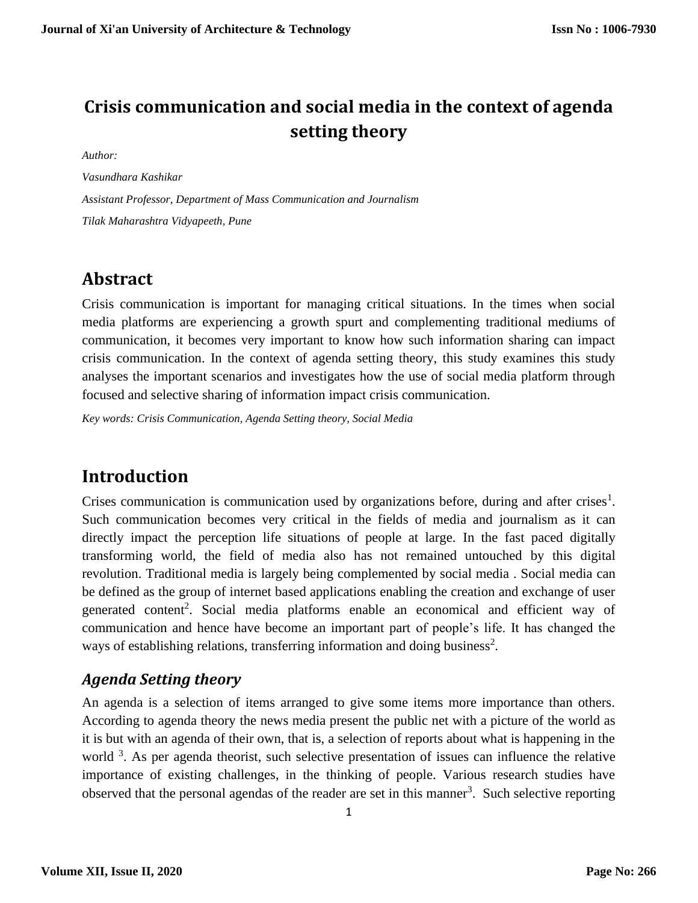# **Crisis communication and social media in the context of agenda setting theory**

*Author:* 

*Vasundhara Kashikar Assistant Professor, Department of Mass Communication and Journalism Tilak Maharashtra Vidyapeeth, Pune*

# **Abstract**

Crisis communication is important for managing critical situations. In the times when social media platforms are experiencing a growth spurt and complementing traditional mediums of communication, it becomes very important to know how such information sharing can impact crisis communication. In the context of agenda setting theory, this study examines this study analyses the important scenarios and investigates how the use of social media platform through focused and selective sharing of information impact crisis communication.

*Key words: Crisis Communication, Agenda Setting theory, Social Media* 

# **Introduction**

Crises communication is communication used by organizations before, during and after crises<sup>1</sup>. Such communication becomes very critical in the fields of media and journalism as it can directly impact the perception life situations of people at large. In the fast paced digitally transforming world, the field of media also has not remained untouched by this digital revolution. Traditional media is largely being complemented by social media . Social media can be defined as the group of internet based applications enabling the creation and exchange of user generated content<sup>2</sup>. Social media platforms enable an economical and efficient way of communication and hence have become an important part of people's life. It has changed the ways of establishing relations, transferring information and doing business<sup>2</sup>.

### *Agenda Setting theory*

An agenda is a selection of items arranged to give some items more importance than others. According to agenda theory the news media present the public net with a picture of the world as it is but with an agenda of their own, that is, a selection of reports about what is happening in the world <sup>3</sup>. As per agenda theorist, such selective presentation of issues can influence the relative importance of existing challenges, in the thinking of people. Various research studies have observed that the personal agendas of the reader are set in this manner<sup>3</sup>. Such selective reporting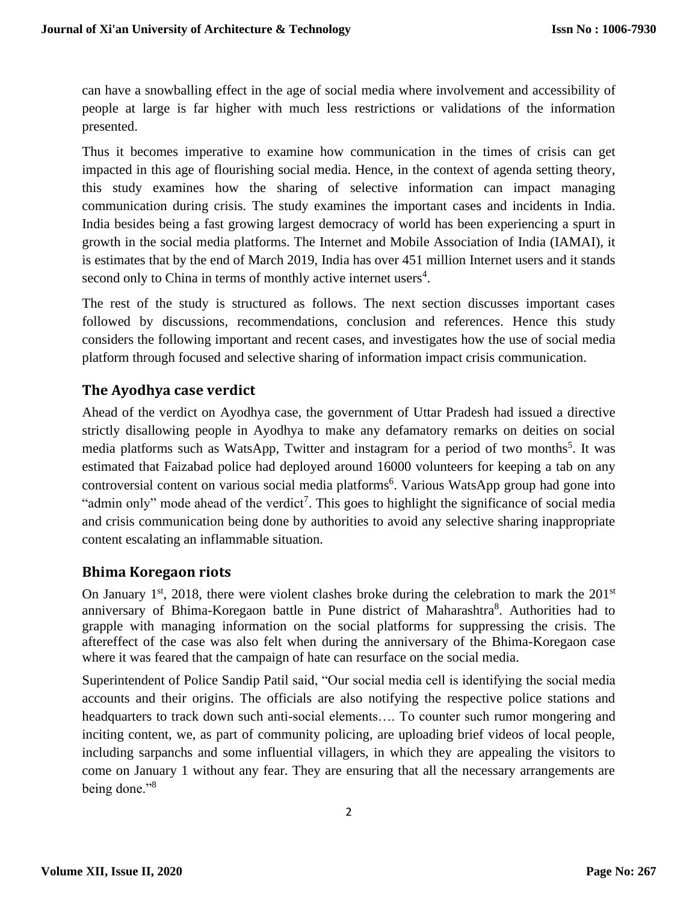can have a snowballing effect in the age of social media where involvement and accessibility of people at large is far higher with much less restrictions or validations of the information presented.

Thus it becomes imperative to examine how communication in the times of crisis can get impacted in this age of flourishing social media. Hence, in the context of agenda setting theory, this study examines how the sharing of selective information can impact managing communication during crisis. The study examines the important cases and incidents in India. India besides being a fast growing largest democracy of world has been experiencing a spurt in growth in the social media platforms. The Internet and Mobile Association of India (IAMAI), it is estimates that by the end of March 2019, India has over 451 million Internet users and it stands second only to China in terms of monthly active internet users<sup>4</sup>.

The rest of the study is structured as follows. The next section discusses important cases followed by discussions, recommendations, conclusion and references. Hence this study considers the following important and recent cases, and investigates how the use of social media platform through focused and selective sharing of information impact crisis communication.

#### **The Ayodhya case verdict**

Ahead of the verdict on Ayodhya case, the government of Uttar Pradesh had issued a directive strictly disallowing people in Ayodhya to make any defamatory remarks on deities on social media platforms such as WatsApp, Twitter and instagram for a period of two months<sup>5</sup>. It was estimated that Faizabad police had deployed around 16000 volunteers for keeping a tab on any controversial content on various social media platforms<sup>6</sup>. Various WatsApp group had gone into "admin only" mode ahead of the verdict<sup>7</sup>. This goes to highlight the significance of social media and crisis communication being done by authorities to avoid any selective sharing inappropriate content escalating an inflammable situation.

#### **Bhima Koregaon riots**

On January  $1<sup>st</sup>$ , 2018, there were violent clashes broke during the celebration to mark the  $201<sup>st</sup>$ anniversary of Bhima-Koregaon battle in Pune district of Maharashtra<sup>8</sup>. Authorities had to grapple with managing information on the social platforms for suppressing the crisis. The aftereffect of the case was also felt when during the anniversary of the Bhima-Koregaon case where it was feared that the campaign of hate can resurface on the social media.

Superintendent of Police Sandip Patil said, "Our social media cell is identifying the social media accounts and their origins. The officials are also notifying the respective police stations and headquarters to track down such anti-social elements…. To counter such rumor mongering and inciting content, we, as part of community policing, are uploading brief videos of local people, including sarpanchs and some influential villagers, in which they are appealing the visitors to come on January 1 without any fear. They are ensuring that all the necessary arrangements are being done."<sup>8</sup>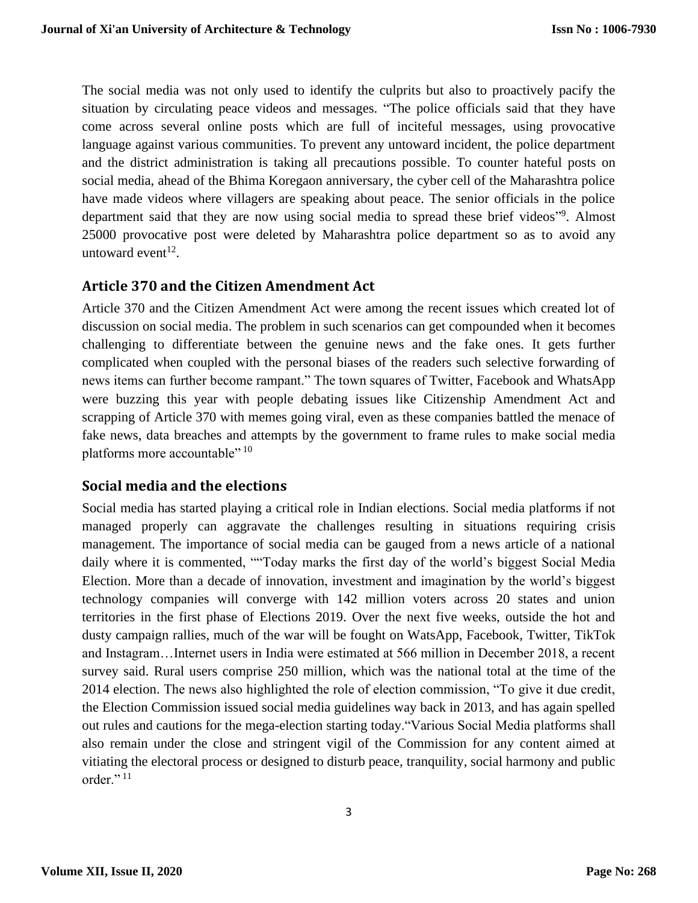The social media was not only used to identify the culprits but also to proactively pacify the situation by circulating peace videos and messages. "The police officials said that they have come across several online posts which are full of inciteful messages, using provocative language against various communities. To prevent any untoward incident, the police department and the district administration is taking all precautions possible. To counter hateful posts on social media, ahead of the Bhima Koregaon anniversary, the cyber cell of the Maharashtra police have made videos where villagers are speaking about peace. The senior officials in the police department said that they are now using social media to spread these brief videos"<sup>9</sup>. Almost 25000 provocative post were deleted by Maharashtra police department so as to avoid any untoward event<sup>12</sup>.

#### **Article 370 and the Citizen Amendment Act**

Article 370 and the Citizen Amendment Act were among the recent issues which created lot of discussion on social media. The problem in such scenarios can get compounded when it becomes challenging to differentiate between the genuine news and the fake ones. It gets further complicated when coupled with the personal biases of the readers such selective forwarding of news items can further become rampant." The town squares of Twitter, Facebook and WhatsApp were buzzing this year with people debating issues like Citizenship Amendment Act and scrapping of Article 370 with memes going viral, even as these companies battled the menace of fake news, data breaches and attempts by the government to frame rules to make social media platforms more accountable" 10

#### **Social media and the elections**

Social media has started playing a critical role in Indian elections. Social media platforms if not managed properly can aggravate the challenges resulting in situations requiring crisis management. The importance of social media can be gauged from a news article of a national daily where it is commented, ""Today marks the first day of the world's biggest Social Media Election. More than a decade of innovation, investment and imagination by the world's biggest technology companies will converge with 142 million voters across 20 states and union territories in the first phase of Elections 2019. Over the next five weeks, outside the hot and dusty campaign rallies, much of the war will be fought on WatsApp, Facebook, Twitter, TikTok and Instagram…Internet users in India were estimated at 566 million in December 2018, a recent survey said. Rural users comprise 250 million, which was the national total at the time of the 2014 election. The news also highlighted the role of election commission, "To give it due credit, the Election Commission issued social media guidelines way back in 2013, and has again spelled out rules and cautions for the mega-election starting today."Various Social Media platforms shall also remain under the close and stringent vigil of the Commission for any content aimed at vitiating the electoral process or designed to disturb peace, tranquility, social harmony and public order."<sup>11</sup>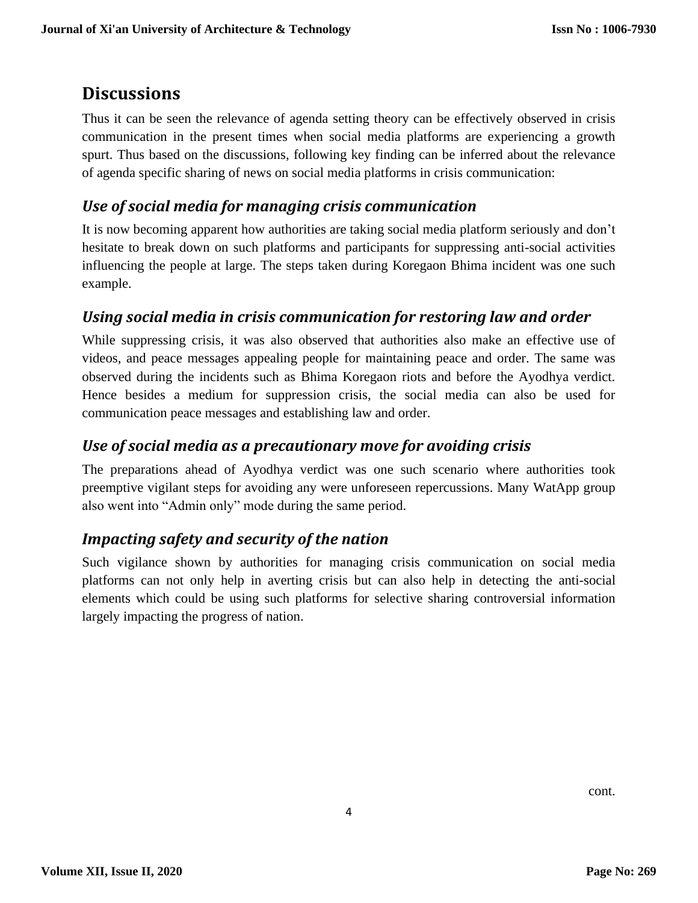# **Discussions**

Thus it can be seen the relevance of agenda setting theory can be effectively observed in crisis communication in the present times when social media platforms are experiencing a growth spurt. Thus based on the discussions, following key finding can be inferred about the relevance of agenda specific sharing of news on social media platforms in crisis communication:

#### *Use of social media for managing crisis communication*

It is now becoming apparent how authorities are taking social media platform seriously and don't hesitate to break down on such platforms and participants for suppressing anti-social activities influencing the people at large. The steps taken during Koregaon Bhima incident was one such example.

#### *Using social media in crisis communication for restoring law and order*

While suppressing crisis, it was also observed that authorities also make an effective use of videos, and peace messages appealing people for maintaining peace and order. The same was observed during the incidents such as Bhima Koregaon riots and before the Ayodhya verdict. Hence besides a medium for suppression crisis, the social media can also be used for communication peace messages and establishing law and order.

#### *Use of social media as a precautionary move for avoiding crisis*

The preparations ahead of Ayodhya verdict was one such scenario where authorities took preemptive vigilant steps for avoiding any were unforeseen repercussions. Many WatApp group also went into "Admin only" mode during the same period.

### *Impacting safety and security of the nation*

Such vigilance shown by authorities for managing crisis communication on social media platforms can not only help in averting crisis but can also help in detecting the anti-social elements which could be using such platforms for selective sharing controversial information largely impacting the progress of nation.

cont.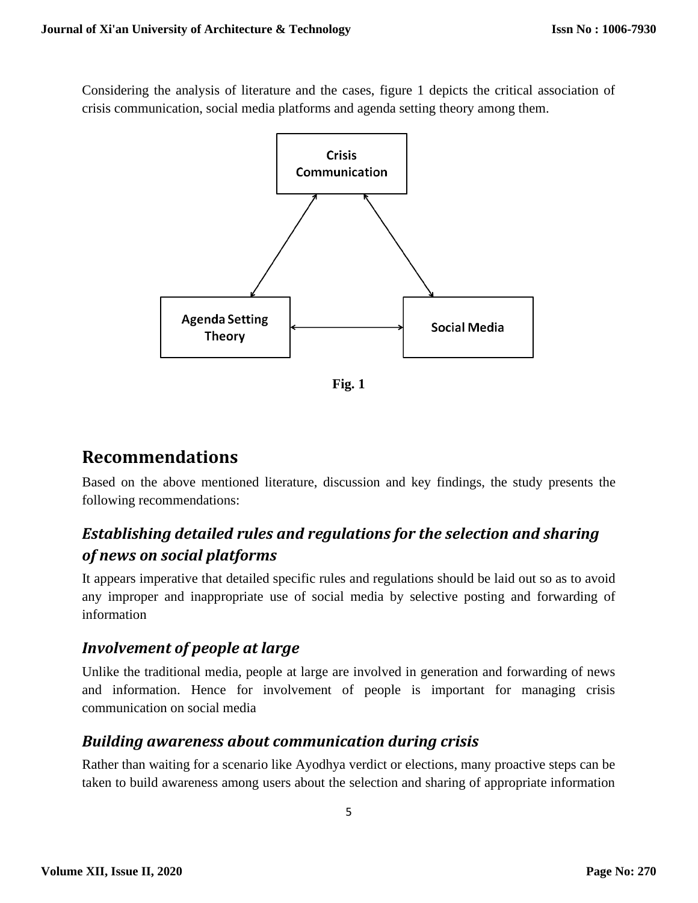Considering the analysis of literature and the cases, figure 1 depicts the critical association of crisis communication, social media platforms and agenda setting theory among them.



**Fig. 1**

# **Recommendations**

Based on the above mentioned literature, discussion and key findings, the study presents the following recommendations:

## *Establishing detailed rules and regulations for the selection and sharing of news on social platforms*

It appears imperative that detailed specific rules and regulations should be laid out so as to avoid any improper and inappropriate use of social media by selective posting and forwarding of information

### *Involvement of people at large*

Unlike the traditional media, people at large are involved in generation and forwarding of news and information. Hence for involvement of people is important for managing crisis communication on social media

### *Building awareness about communication during crisis*

Rather than waiting for a scenario like Ayodhya verdict or elections, many proactive steps can be taken to build awareness among users about the selection and sharing of appropriate information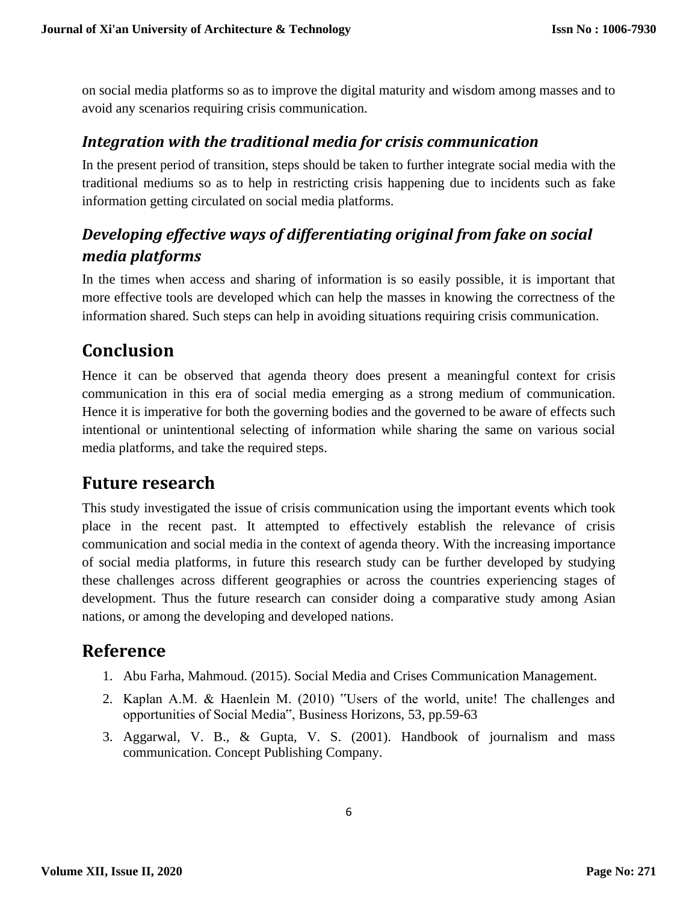on social media platforms so as to improve the digital maturity and wisdom among masses and to avoid any scenarios requiring crisis communication.

#### *Integration with the traditional media for crisis communication*

In the present period of transition, steps should be taken to further integrate social media with the traditional mediums so as to help in restricting crisis happening due to incidents such as fake information getting circulated on social media platforms.

## *Developing effective ways of differentiating original from fake on social media platforms*

In the times when access and sharing of information is so easily possible, it is important that more effective tools are developed which can help the masses in knowing the correctness of the information shared. Such steps can help in avoiding situations requiring crisis communication.

## **Conclusion**

Hence it can be observed that agenda theory does present a meaningful context for crisis communication in this era of social media emerging as a strong medium of communication. Hence it is imperative for both the governing bodies and the governed to be aware of effects such intentional or unintentional selecting of information while sharing the same on various social media platforms, and take the required steps.

## **Future research**

This study investigated the issue of crisis communication using the important events which took place in the recent past. It attempted to effectively establish the relevance of crisis communication and social media in the context of agenda theory. With the increasing importance of social media platforms, in future this research study can be further developed by studying these challenges across different geographies or across the countries experiencing stages of development. Thus the future research can consider doing a comparative study among Asian nations, or among the developing and developed nations.

### **Reference**

- 1. Abu Farha, Mahmoud. (2015). Social Media and Crises Communication Management.
- 2. Kaplan A.M. & Haenlein M. (2010) "Users of the world, unite! The challenges and opportunities of Social Media", Business Horizons, 53, pp.59-63
- 3. Aggarwal, V. B., & Gupta, V. S. (2001). Handbook of journalism and mass communication. Concept Publishing Company.